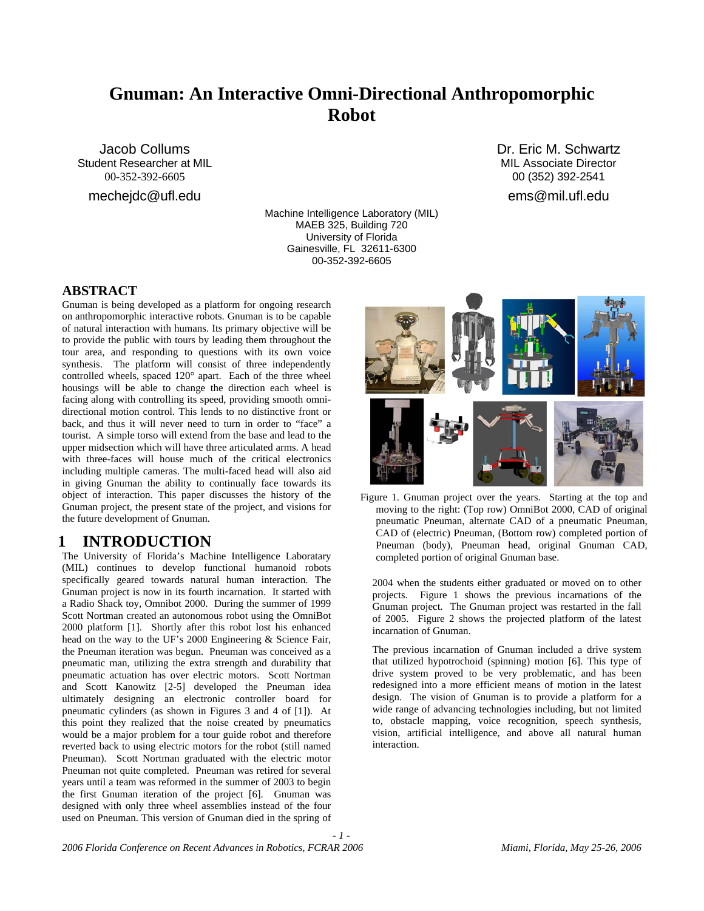# **Gnuman: An Interactive Omni-Directional Anthropomorphic Robot**

Jacob Collums Student Researcher at MIL 00-352-392-6605

mechejdc@ufl.edu

Machine Intelligence Laboratory (MIL) MAEB 325, Building 720 University of Florida Gainesville, FL 32611-6300 00-352-392-6605

*- 1 -* 

Dr. Eric M. Schwartz MIL Associate Director 00 (352) 392-2541 ems@mil.ufl.edu

### **ABSTRACT**

Gnuman is being developed as a platform for ongoing research on anthropomorphic interactive robots. Gnuman is to be capable of natural interaction with humans. Its primary objective will be to provide the public with tours by leading them throughout the tour area, and responding to questions with its own voice synthesis. The platform will consist of three independently controlled wheels, spaced 120° apart. Each of the three wheel housings will be able to change the direction each wheel is facing along with controlling its speed, providing smooth omnidirectional motion control. This lends to no distinctive front or back, and thus it will never need to turn in order to "face" a tourist. A simple torso will extend from the base and lead to the upper midsection which will have three articulated arms. A head with three-faces will house much of the critical electronics including multiple cameras. The multi-faced head will also aid in giving Gnuman the ability to continually face towards its object of interaction. This paper discusses the history of the Gnuman project, the present state of the project, and visions for the future development of Gnuman.

## **1 INTRODUCTION**

The University of Florida's Machine Intelligence Laboratary (MIL) continues to develop functional humanoid robots specifically geared towards natural human interaction. The Gnuman project is now in its fourth incarnation. It started with a Radio Shack toy, Omnibot 2000. During the summer of 1999 Scott Nortman created an autonomous robot using the OmniBot 2000 platform [1]. Shortly after this robot lost his enhanced head on the way to the UF's 2000 Engineering & Science Fair, the Pneuman iteration was begun. Pneuman was conceived as a pneumatic man, utilizing the extra strength and durability that pneumatic actuation has over electric motors. Scott Nortman and Scott Kanowitz [2-5] developed the Pneuman idea ultimately designing an electronic controller board for pneumatic cylinders (as shown in Figures 3 and 4 of [1]). At this point they realized that the noise created by pneumatics would be a major problem for a tour guide robot and therefore reverted back to using electric motors for the robot (still named Pneuman). Scott Nortman graduated with the electric motor Pneuman not quite completed. Pneuman was retired for several years until a team was reformed in the summer of 2003 to begin the first Gnuman iteration of the project [6]. Gnuman was designed with only three wheel assemblies instead of the four used on Pneuman. This version of Gnuman died in the spring of



Figure 1. Gnuman project over the years. Starting at the top and moving to the right: (Top row) OmniBot 2000, CAD of original pneumatic Pneuman, alternate CAD of a pneumatic Pneuman, CAD of (electric) Pneuman, (Bottom row) completed portion of Pneuman (body), Pneuman head, original Gnuman CAD, completed portion of original Gnuman base.

2004 when the students either graduated or moved on to other projects. Figure 1 shows the previous incarnations of the Gnuman project. The Gnuman project was restarted in the fall of 2005. Figure 2 shows the projected platform of the latest incarnation of Gnuman.

The previous incarnation of Gnuman included a drive system that utilized hypotrochoid (spinning) motion [6]. This type of drive system proved to be very problematic, and has been redesigned into a more efficient means of motion in the latest design. The vision of Gnuman is to provide a platform for a wide range of advancing technologies including, but not limited to, obstacle mapping, voice recognition, speech synthesis, vision, artificial intelligence, and above all natural human interaction.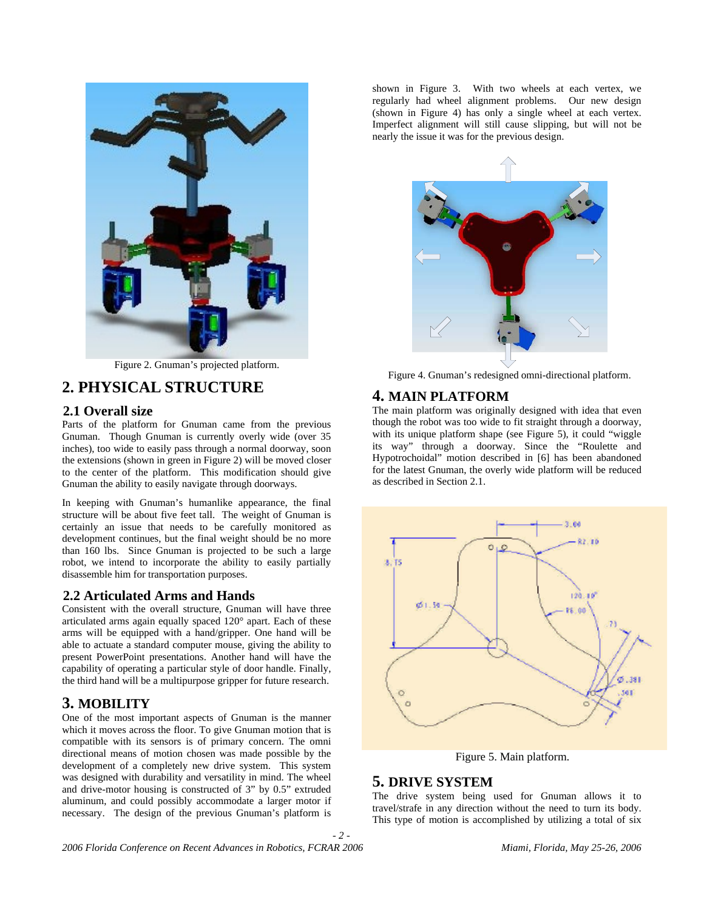

Figure 2. Gnuman's projected platform.

## **2. PHYSICAL STRUCTURE**

#### **2.1 Overall size**

Parts of the platform for Gnuman came from the previous Gnuman. Though Gnuman is currently overly wide (over 35 inches), too wide to easily pass through a normal doorway, soon the extensions (shown in green in Figure 2) will be moved closer to the center of the platform. This modification should give Gnuman the ability to easily navigate through doorways.

In keeping with Gnuman's humanlike appearance, the final structure will be about five feet tall. The weight of Gnuman is certainly an issue that needs to be carefully monitored as development continues, but the final weight should be no more than 160 lbs. Since Gnuman is projected to be such a large robot, we intend to incorporate the ability to easily partially disassemble him for transportation purposes.

#### **2.2 Articulated Arms and Hands**

Consistent with the overall structure, Gnuman will have three articulated arms again equally spaced 120° apart. Each of these arms will be equipped with a hand/gripper. One hand will be able to actuate a standard computer mouse, giving the ability to present PowerPoint presentations. Another hand will have the capability of operating a particular style of door handle. Finally, the third hand will be a multipurpose gripper for future research.

## **3. MOBILITY**

One of the most important aspects of Gnuman is the manner which it moves across the floor. To give Gnuman motion that is compatible with its sensors is of primary concern. The omni directional means of motion chosen was made possible by the development of a completely new drive system. This system was designed with durability and versatility in mind. The wheel and drive-motor housing is constructed of 3" by 0.5" extruded aluminum, and could possibly accommodate a larger motor if necessary. The design of the previous Gnuman's platform is shown in Figure 3. With two wheels at each vertex, we regularly had wheel alignment problems. Our new design (shown in Figure 4) has only a single wheel at each vertex. Imperfect alignment will still cause slipping, but will not be nearly the issue it was for the previous design.



Figure 4. Gnuman's redesigned omni-directional platform.

### **4. MAIN PLATFORM**

The main platform was originally designed with idea that even though the robot was too wide to fit straight through a doorway, with its unique platform shape (see Figure 5), it could "wiggle its way" through a doorway. Since the "Roulette and Hypotrochoidal" motion described in [6] has been abandoned for the latest Gnuman, the overly wide platform will be reduced as described in Section 2.1.



Figure 5. Main platform.

#### **5. DRIVE SYSTEM**

*- 2 -* 

The drive system being used for Gnuman allows it to travel/strafe in any direction without the need to turn its body. This type of motion is accomplished by utilizing a total of six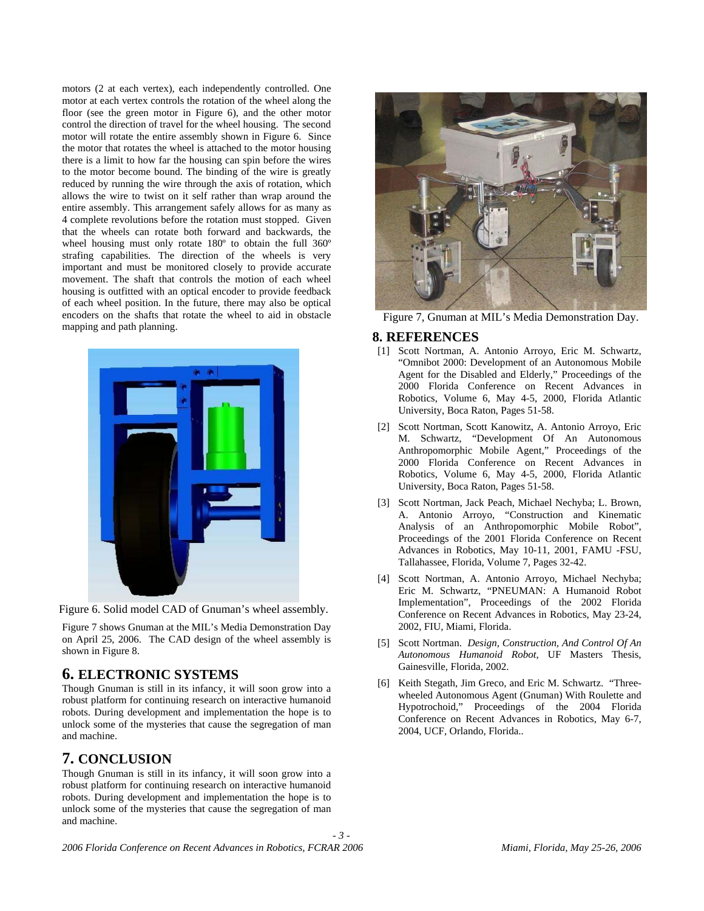motors (2 at each vertex), each independently controlled. One motor at each vertex controls the rotation of the wheel along the floor (see the green motor in Figure 6), and the other motor control the direction of travel for the wheel housing. The second motor will rotate the entire assembly shown in Figure 6. Since the motor that rotates the wheel is attached to the motor housing there is a limit to how far the housing can spin before the wires to the motor become bound. The binding of the wire is greatly reduced by running the wire through the axis of rotation, which allows the wire to twist on it self rather than wrap around the entire assembly. This arrangement safely allows for as many as 4 complete revolutions before the rotation must stopped. Given that the wheels can rotate both forward and backwards, the wheel housing must only rotate 180º to obtain the full 360º strafing capabilities. The direction of the wheels is very important and must be monitored closely to provide accurate movement. The shaft that controls the motion of each wheel housing is outfitted with an optical encoder to provide feedback of each wheel position. In the future, there may also be optical encoders on the shafts that rotate the wheel to aid in obstacle mapping and path planning.



Figure 6. Solid model CAD of Gnuman's wheel assembly.

Figure 7 shows Gnuman at the MIL's Media Demonstration Day on April 25, 2006. The CAD design of the wheel assembly is shown in Figure 8.

## **6. ELECTRONIC SYSTEMS**

Though Gnuman is still in its infancy, it will soon grow into a robust platform for continuing research on interactive humanoid robots. During development and implementation the hope is to unlock some of the mysteries that cause the segregation of man and machine.

## **7. CONCLUSION**

Though Gnuman is still in its infancy, it will soon grow into a robust platform for continuing research on interactive humanoid robots. During development and implementation the hope is to unlock some of the mysteries that cause the segregation of man and machine.



Figure 7, Gnuman at MIL's Media Demonstration Day.

#### **8. REFERENCES**

- [1] Scott Nortman, A. Antonio Arroyo, Eric M. Schwartz, "Omnibot 2000: Development of an Autonomous Mobile Agent for the Disabled and Elderly," Proceedings of the 2000 Florida Conference on Recent Advances in Robotics, Volume 6, May 4-5, 2000, Florida Atlantic University, Boca Raton, Pages 51-58.
- [2] Scott Nortman, Scott Kanowitz, A. Antonio Arroyo, Eric M. Schwartz, "Development Of An Autonomous Anthropomorphic Mobile Agent," Proceedings of the 2000 Florida Conference on Recent Advances in Robotics, Volume 6, May 4-5, 2000, Florida Atlantic University, Boca Raton, Pages 51-58.
- [3] Scott Nortman, Jack Peach, Michael Nechyba; L. Brown, A. Antonio Arroyo, "Construction and Kinematic Analysis of an Anthropomorphic Mobile Robot", Proceedings of the 2001 Florida Conference on Recent Advances in Robotics, May 10-11, 2001, FAMU -FSU, Tallahassee, Florida, Volume 7, Pages 32-42.
- [4] Scott Nortman, A. Antonio Arroyo, Michael Nechyba; Eric M. Schwartz, "PNEUMAN: A Humanoid Robot Implementation", Proceedings of the 2002 Florida Conference on Recent Advances in Robotics, May 23-24, 2002, FIU, Miami, Florida.
- [5] Scott Nortman. *Design, Construction, And Control Of An Autonomous Humanoid Robot*, UF Masters Thesis, Gainesville, Florida, 2002.
- [6] Keith Stegath, Jim Greco, and Eric M. Schwartz. "Threewheeled Autonomous Agent (Gnuman) With Roulette and Hypotrochoid," Proceedings of the 2004 Florida Conference on Recent Advances in Robotics, May 6-7, 2004, UCF, Orlando, Florida..

*- 3 -*